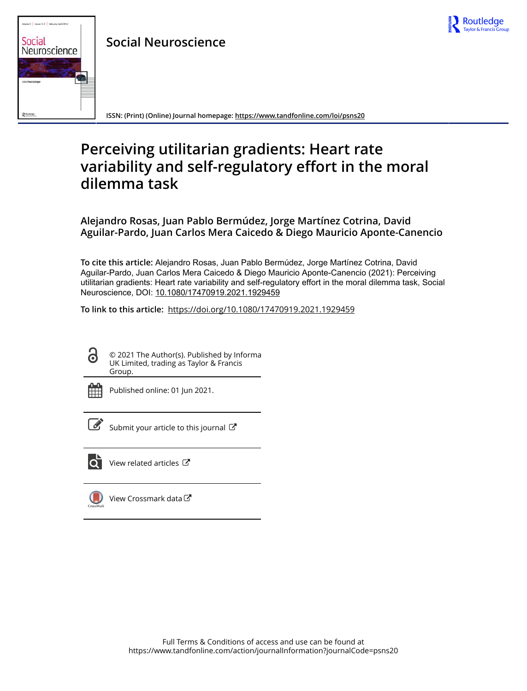

# e 9 | Issues 1-2 | February-April 201 Social Neuroscience

**Social Neuroscience**

**ISSN: (Print) (Online) Journal homepage:<https://www.tandfonline.com/loi/psns20>**

# **Perceiving utilitarian gradients: Heart rate variability and self-regulatory effort in the moral dilemma task**

**Alejandro Rosas, Juan Pablo Bermúdez, Jorge Martínez Cotrina, David Aguilar-Pardo, Juan Carlos Mera Caicedo & Diego Mauricio Aponte-Canencio**

**To cite this article:** Alejandro Rosas, Juan Pablo Bermúdez, Jorge Martínez Cotrina, David Aguilar-Pardo, Juan Carlos Mera Caicedo & Diego Mauricio Aponte-Canencio (2021): Perceiving utilitarian gradients: Heart rate variability and self-regulatory effort in the moral dilemma task, Social Neuroscience, DOI: [10.1080/17470919.2021.1929459](https://www.tandfonline.com/action/showCitFormats?doi=10.1080/17470919.2021.1929459)

**To link to this article:** <https://doi.org/10.1080/17470919.2021.1929459>

© 2021 The Author(s). Published by Informa UK Limited, trading as Taylor & Francis Group.



ര

Published online: 01 Jun 2021.



 $\mathbb{Z}$  [Submit your article to this journal](https://www.tandfonline.com/action/authorSubmission?journalCode=psns20&show=instructions)  $\mathbb{Z}$ 



[View related articles](https://www.tandfonline.com/doi/mlt/10.1080/17470919.2021.1929459) 



[View Crossmark data](http://crossmark.crossref.org/dialog/?doi=10.1080/17470919.2021.1929459&domain=pdf&date_stamp=2021-06-01)<sup>C</sup>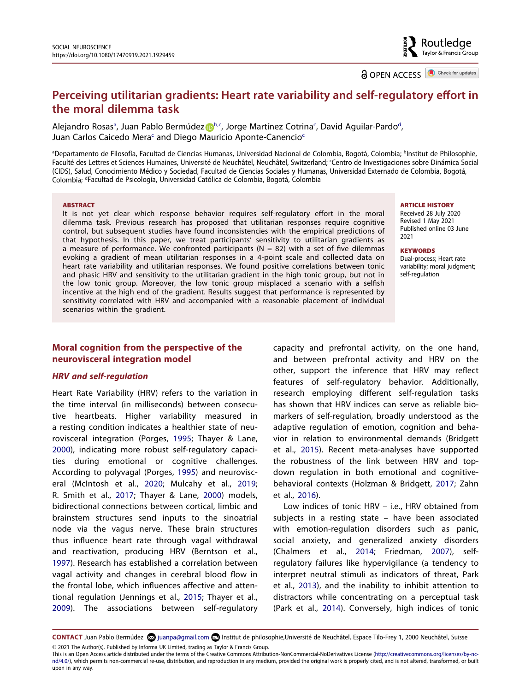**a** OPEN ACCESS **D** Check for updates

# **Perceiving utilitarian gradients: Heart rate variability and self-regulatory effort in the moral dilemma task**

Alejandro Ro[sa](#page-1-0)s<sup>a</sup>, Juan Pa[b](#page-1-0)lo Bermúdez Db.[c](#page-1-1), Jorge Martínez Cotrinac, Davi[d](#page-1-2) Aguilar-Pardo<sup>d</sup>, Juan Carlos Cai[c](#page-1-1)edo Mera<sup>c</sup> and Diego Mauricio Aponte-Canencio<sup>c</sup>

<span id="page-1-2"></span><span id="page-1-1"></span><span id="page-1-0"></span>a Departamento de Filosofía, Facultad de Ciencias Humanas, Universidad Nacional de Colombia, Bogotá, Colombia; b Institut de Philosophie, Faculté des Lettres et Sciences Humaines, Université de Neuchâtel, Neuchâtel, Switzerland; Centro de Investigaciones sobre Dinámica Social (CIDS), Salud, Conocimiento Médico y Sociedad, Facultad de Ciencias Sociales y Humanas, Universidad Externado de Colombia, Bogotá, Colombia; <sup>d</sup>Facultad de Psicología, Universidad Católica de Colombia, Bogotá, Colombia

#### **ABSTRACT**

It is not yet clear which response behavior requires self-regulatory effort in the moral dilemma task. Previous research has proposed that utilitarian responses require cognitive control, but subsequent studies have found inconsistencies with the empirical predictions of that hypothesis. In this paper, we treat participants' sensitivity to utilitarian gradients as a measure of performance. We confronted participants ( $N = 82$ ) with a set of five dilemmas evoking a gradient of mean utilitarian responses in a 4-point scale and collected data on heart rate variability and utilitarian responses. We found positive correlations between tonic and phasic HRV and sensitivity to the utilitarian gradient in the high tonic group, but not in the low tonic group. Moreover, the low tonic group misplaced a scenario with a selfish incentive at the high end of the gradient. Results suggest that performance is represented by sensitivity correlated with HRV and accompanied with a reasonable placement of individual scenarios within the gradient.

#### **Moral cognition from the perspective of the neurovisceral integration model**

#### *HRV and self-regulation*

<span id="page-1-12"></span><span id="page-1-11"></span><span id="page-1-8"></span>Heart Rate Variability (HRV) refers to the variation in the time interval (in milliseconds) between consecutive heartbeats. Higher variability measured in a resting condition indicates a healthier state of neurovisceral integration (Porges, [1995;](#page-13-0) Thayer & Lane, [2000\)](#page-14-0), indicating more robust self-regulatory capacities during emotional or cognitive challenges. According to polyvagal (Porges, [1995\)](#page-13-0) and neurovisceral (McIntosh et al., [2020;](#page-13-1) Mulcahy et al., [2019;](#page-13-2) R. Smith et al., [2017;](#page-13-3) Thayer & Lane, [2000](#page-14-0)) models, bidirectional connections between cortical, limbic and brainstem structures send inputs to the sinoatrial node via the vagus nerve. These brain structures thus influence heart rate through vagal withdrawal and reactivation, producing HRV (Berntson et al., [1997\)](#page-12-0). Research has established a correlation between vagal activity and changes in cerebral blood flow in the frontal lobe, which influences affective and attentional regulation (Jennings et al., [2015;](#page-13-4) Thayer et al., [2009\)](#page-13-5). The associations between self-regulatory

capacity and prefrontal activity, on the one hand, and between prefrontal activity and HRV on the other, support the inference that HRV may reflect features of self-regulatory behavior. Additionally, research employing different self-regulation tasks has shown that HRV indices can serve as reliable biomarkers of self-regulation, broadly understood as the adaptive regulation of emotion, cognition and behavior in relation to environmental demands (Bridgett et al., [2015](#page-12-1)). Recent meta-analyses have supported the robustness of the link between HRV and topdown regulation in both emotional and cognitivebehavioral contexts (Holzman & Bridgett, [2017](#page-12-2); Zahn et al., [2016\)](#page-14-1).

<span id="page-1-13"></span><span id="page-1-10"></span><span id="page-1-9"></span><span id="page-1-6"></span><span id="page-1-5"></span><span id="page-1-4"></span>Low indices of tonic HRV – i.e., HRV obtained from subjects in a resting state – have been associated with emotion-regulation disorders such as panic, social anxiety, and generalized anxiety disorders (Chalmers et al., [2014](#page-12-3); Friedman, [2007](#page-12-4)), selfregulatory failures like hypervigilance (a tendency to interpret neutral stimuli as indicators of threat, Park et al., [2013\)](#page-13-6), and the inability to inhibit attention to distractors while concentrating on a perceptual task (Park et al., [2014](#page-13-7)). Conversely, high indices of tonic

<span id="page-1-7"></span><span id="page-1-3"></span>CONTACT Juan Pablo Bermúdez **o juanpa@gmail.com <b>D** Institut de philosophie,Université de Neuchâtel, Espace Tilo-Frey 1, 2000 Neuchâtel, Suisse © 2021 The Author(s). Published by Informa UK Limited, trading as Taylor & Francis Group.

#### **ARTICLE HISTORY**

Received 28 July 2020 Revised 1 May 2021 Published online 03 June 2021

**KEYWORDS**  Dual-process; Heart rate variability; moral judgment; self-regulation

This is an Open Access article distributed under the terms of the Creative Commons Attribution-NonCommercial-NoDerivatives License (http://creativecommons.org/licenses/by-ncnd/4.0/), which permits non-commercial re-use, distribution, and reproduction in any medium, provided the original work is properly cited, and is not altered, transformed, or built upon in any way.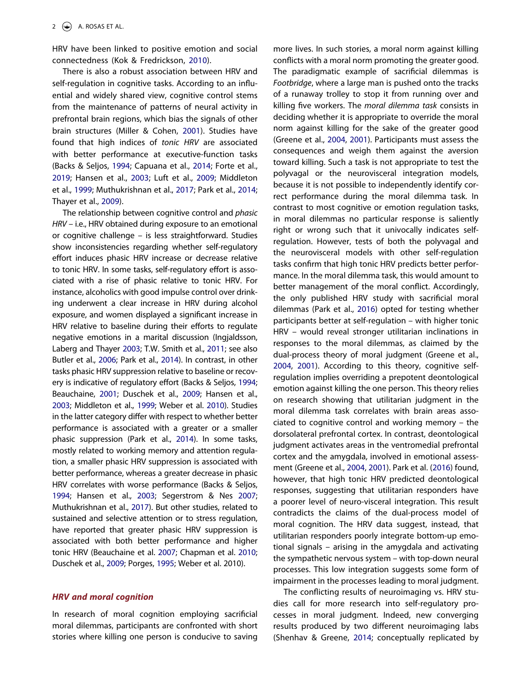<span id="page-2-9"></span>HRV have been linked to positive emotion and social connectedness (Kok & Fredrickson, [2010\)](#page-13-8).

<span id="page-2-12"></span>There is also a robust association between HRV and self-regulation in cognitive tasks. According to an influential and widely shared view, cognitive control stems from the maintenance of patterns of neural activity in prefrontal brain regions, which bias the signals of other brain structures (Miller & Cohen, [2001](#page-13-9)). Studies have found that high indices of *tonic HRV* are associated with better performance at executive-function tasks (Backs & Seljos, [1994](#page-12-5); Capuana et al., [2014;](#page-12-6) Forte et al., [2019;](#page-12-7) Hansen et al., [2003;](#page-12-8) Luft et al., [2009](#page-13-10); Middleton et al., [1999;](#page-13-11) Muthukrishnan et al., [2017](#page-13-12); Park et al., [2014;](#page-13-7) Thayer et al., [2009\)](#page-13-5).

<span id="page-2-11"></span><span id="page-2-10"></span><span id="page-2-8"></span><span id="page-2-4"></span><span id="page-2-3"></span><span id="page-2-1"></span>The relationship between cognitive control and *phasic HRV* – i.e., HRV obtained during exposure to an emotional or cognitive challenge – is less straightforward. Studies show inconsistencies regarding whether self-regulatory effort induces phasic HRV increase or decrease relative to tonic HRV. In some tasks, self-regulatory effort is associated with a rise of phasic relative to tonic HRV. For instance, alcoholics with good impulse control over drinking underwent a clear increase in HRV during alcohol exposure, and women displayed a significant increase in HRV relative to baseline during their efforts to regulate negative emotions in a marital discussion (Ingjaldsson, Laberg and Thayer [2003;](#page-12-9) T.W. Smith et al., [2011;](#page-13-13) see also Butler et al., [2006](#page-12-10); Park et al., [2014\)](#page-13-7). In contrast, in other tasks phasic HRV suppression relative to baseline or recovery is indicative of regulatory effort (Backs & Seljos, [1994;](#page-12-5) Beauchaine, [2001](#page-12-11); Duschek et al., [2009;](#page-12-12) Hansen et al., [2003](#page-12-8); Middleton et al., [1999;](#page-13-11) Weber et al. [2010](#page-14-2)). Studies in the latter category differ with respect to whether better performance is associated with a greater or a smaller phasic suppression (Park et al., [2014](#page-13-7)). In some tasks, mostly related to working memory and attention regulation, a smaller phasic HRV suppression is associated with better performance, whereas a greater decrease in phasic HRV correlates with worse performance (Backs & Seljos, [1994](#page-12-5); Hansen et al., [2003;](#page-12-8) Segerstrom & Nes [2007;](#page-13-14) Muthukrishnan et al., [2017\)](#page-13-12). But other studies, related to sustained and selective attention or to stress regulation, have reported that greater phasic HRV suppression is associated with both better performance and higher tonic HRV (Beauchaine et al. [2007;](#page-12-13) Chapman et al. [2010;](#page-12-14) Duschek et al., [2009](#page-12-12); Porges, [1995;](#page-13-0) Weber et al. 2010).

#### <span id="page-2-13"></span><span id="page-2-7"></span><span id="page-2-5"></span><span id="page-2-2"></span><span id="page-2-0"></span>*HRV and moral cognition*

In research of moral cognition employing sacrificial moral dilemmas, participants are confronted with short stories where killing one person is conducive to saving more lives. In such stories, a moral norm against killing conflicts with a moral norm promoting the greater good. The paradigmatic example of sacrificial dilemmas is *Footbridge*, where a large man is pushed onto the tracks of a runaway trolley to stop it from running over and killing five workers. The *moral dilemma task* consists in deciding whether it is appropriate to override the moral norm against killing for the sake of the greater good (Greene et al., [2004](#page-12-15), [2001](#page-12-16)). Participants must assess the consequences and weigh them against the aversion toward killing. Such a task is not appropriate to test the polyvagal or the neurovisceral integration models, because it is not possible to independently identify correct performance during the moral dilemma task. In contrast to most cognitive or emotion regulation tasks, in moral dilemmas no particular response is saliently right or wrong such that it univocally indicates selfregulation. However, tests of both the polyvagal and the neurovisceral models with other self-regulation tasks confirm that high tonic HRV predicts better performance. In the moral dilemma task, this would amount to better management of the moral conflict. Accordingly, the only published HRV study with sacrificial moral dilemmas (Park et al., [2016\)](#page-13-15) opted for testing whether participants better at self-regulation – with higher tonic HRV – would reveal stronger utilitarian inclinations in responses to the moral dilemmas, as claimed by the dual-process theory of moral judgment (Greene et al., [2004](#page-12-15), [2001\)](#page-12-16). According to this theory, cognitive selfregulation implies overriding a prepotent deontological emotion against killing the one person. This theory relies on research showing that utilitarian judgment in the moral dilemma task correlates with brain areas associated to cognitive control and working memory – the dorsolateral prefrontal cortex. In contrast, deontological judgment activates areas in the ventromedial prefrontal cortex and the amygdala, involved in emotional assessment (Greene et al., [2004,](#page-12-15) [2001\)](#page-12-16). Park et al. ([2016](#page-13-15)) found, however, that high tonic HRV predicted deontological responses, suggesting that utilitarian responders have a poorer level of neuro-visceral integration. This result contradicts the claims of the dual-process model of moral cognition. The HRV data suggest, instead, that utilitarian responders poorly integrate bottom-up emotional signals – arising in the amygdala and activating the sympathetic nervous system – with top-down neural processes. This low integration suggests some form of impairment in the processes leading to moral judgment.

<span id="page-2-14"></span><span id="page-2-6"></span>The conflicting results of neuroimaging vs. HRV studies call for more research into self-regulatory processes in moral judgment. Indeed, new converging results produced by two different neuroimaging labs (Shenhav & Greene, [2014](#page-13-16); conceptually replicated by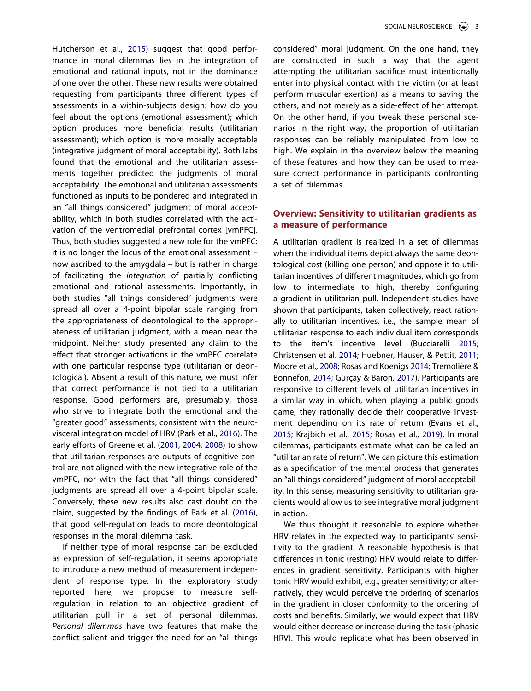<span id="page-3-5"></span>Hutcherson et al., [2015](#page-12-17)) suggest that good performance in moral dilemmas lies in the integration of emotional and rational inputs, not in the dominance of one over the other. These new results were obtained requesting from participants three different types of assessments in a within-subjects design: how do you feel about the options (emotional assessment); which option produces more beneficial results (utilitarian assessment); which option is more morally acceptable (integrative judgment of moral acceptability). Both labs found that the emotional and the utilitarian assessments together predicted the judgments of moral acceptability. The emotional and utilitarian assessments functioned as inputs to be pondered and integrated in an "all things considered" judgment of moral acceptability, which in both studies correlated with the activation of the ventromedial prefrontal cortex [vmPFC]. Thus, both studies suggested a new role for the vmPFC: it is no longer the locus of the emotional assessment – now ascribed to the amygdala – but is rather in charge of facilitating the *integration* of partially conflicting emotional and rational assessments. Importantly, in both studies "all things considered" judgments were spread all over a 4-point bipolar scale ranging from the appropriateness of deontological to the appropriateness of utilitarian judgment, with a mean near the midpoint. Neither study presented any claim to the effect that stronger activations in the vmPFC correlate with one particular response type (utilitarian or deontological). Absent a result of this nature, we must infer that correct performance is not tied to a utilitarian response. Good performers are, presumably, those who strive to integrate both the emotional and the "greater good" assessments, consistent with the neurovisceral integration model of HRV (Park et al., [2016\)](#page-13-15). The early efforts of Greene et al. ([2001,](#page-12-16) [2004](#page-12-15), [2008\)](#page-12-18) to show that utilitarian responses are outputs of cognitive control are not aligned with the new integrative role of the vmPFC, nor with the fact that "all things considered" judgments are spread all over a 4-point bipolar scale. Conversely, these new results also cast doubt on the claim, suggested by the findings of Park et al. [\(2016\)](#page-13-15), that good self-regulation leads to more deontological responses in the moral dilemma task.

<span id="page-3-3"></span>If neither type of moral response can be excluded as expression of self-regulation, it seems appropriate to introduce a new method of measurement independent of response type. In the exploratory study reported here, we propose to measure selfregulation in relation to an objective gradient of utilitarian pull in a set of personal dilemmas. *Personal dilemmas* have two features that make the conflict salient and trigger the need for an "all things

considered" moral judgment. On the one hand, they are constructed in such a way that the agent attempting the utilitarian sacrifice must intentionally enter into physical contact with the victim (or at least perform muscular exertion) as a means to saving the others, and not merely as a side-effect of her attempt. On the other hand, if you tweak these personal scenarios in the right way, the proportion of utilitarian responses can be reliably manipulated from low to high. We explain in the overview below the meaning of these features and how they can be used to measure correct performance in participants confronting a set of dilemmas.

#### **Overview: Sensitivity to utilitarian gradients as a measure of performance**

<span id="page-3-7"></span><span id="page-3-4"></span><span id="page-3-1"></span><span id="page-3-0"></span>A utilitarian gradient is realized in a set of dilemmas when the individual items depict always the same deontological cost (killing one person) and oppose it to utilitarian incentives of different magnitudes, which go from low to intermediate to high, thereby configuring a gradient in utilitarian pull. Independent studies have shown that participants, taken collectively, react rationally to utilitarian incentives, i.e., the sample mean of utilitarian response to each individual item corresponds to the item's incentive level (Bucciarelli [2015](#page-12-19); Christensen et al. [2014;](#page-12-20) Huebner, Hauser, & Pettit, [2011](#page-12-21); Moore et al., [2008;](#page-13-17) Rosas and Koenigs [2014;](#page-13-18) Trémolière & Bonnefon, [2014](#page-14-3); Gürçay & Baron, [2017](#page-12-22)). Participants are responsive to different levels of utilitarian incentives in a similar way in which, when playing a public goods game, they rationally decide their cooperative investment depending on its rate of return (Evans et al., [2015](#page-12-23); Krajbich et al., [2015;](#page-13-19) Rosas et al., [2019](#page-13-20)). In moral dilemmas, participants estimate what can be called an "utilitarian rate of return". We can picture this estimation as a specification of the mental process that generates an "all things considered" judgment of moral acceptability. In this sense, measuring sensitivity to utilitarian gradients would allow us to see integrative moral judgment in action.

<span id="page-3-6"></span><span id="page-3-2"></span>We thus thought it reasonable to explore whether HRV relates in the expected way to participants' sensitivity to the gradient. A reasonable hypothesis is that differences in tonic (resting) HRV would relate to differences in gradient sensitivity. Participants with higher tonic HRV would exhibit, e.g., greater sensitivity; or alternatively, they would perceive the ordering of scenarios in the gradient in closer conformity to the ordering of costs and benefits. Similarly, we would expect that HRV would either decrease or increase during the task (phasic HRV). This would replicate what has been observed in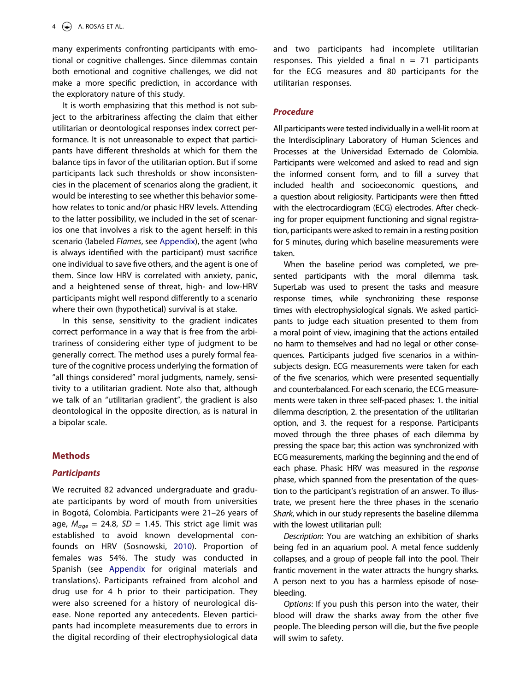many experiments confronting participants with emotional or cognitive challenges. Since dilemmas contain both emotional and cognitive challenges, we did not make a more specific prediction, in accordance with the exploratory nature of this study.

It is worth emphasizing that this method is not subject to the arbitrariness affecting the claim that either utilitarian or deontological responses index correct performance. It is not unreasonable to expect that participants have different thresholds at which for them the balance tips in favor of the utilitarian option. But if some participants lack such thresholds or show inconsistencies in the placement of scenarios along the gradient, it would be interesting to see whether this behavior somehow relates to tonic and/or phasic HRV levels. Attending to the latter possibility, we included in the set of scenarios one that involves a risk to the agent herself: in this scenario (labeled *Flames*, see [Appendix\)](#page-14-4), the agent (who is always identified with the participant) must sacrifice one individual to save five others, and the agent is one of them. Since low HRV is correlated with anxiety, panic, and a heightened sense of threat, high- and low-HRV participants might well respond differently to a scenario where their own (hypothetical) survival is at stake.

In this sense, sensitivity to the gradient indicates correct performance in a way that is free from the arbitrariness of considering either type of judgment to be generally correct. The method uses a purely formal feature of the cognitive process underlying the formation of "all things considered" moral judgments, namely, sensitivity to a utilitarian gradient. Note also that, although we talk of an "utilitarian gradient", the gradient is also deontological in the opposite direction, as is natural in a bipolar scale.

#### **Methods**

#### *Participants*

<span id="page-4-0"></span>We recruited 82 advanced undergraduate and graduate participants by word of mouth from universities in Bogotá, Colombia. Participants were 21–26 years of age,  $M_{age} = 24.8$ ,  $SD = 1.45$ . This strict age limit was established to avoid known developmental confounds on HRV (Sosnowski, [2010](#page-13-21)). Proportion of females was 54%. The study was conducted in Spanish (see [Appendix](#page-14-4) for original materials and translations). Participants refrained from alcohol and drug use for 4 h prior to their participation. They were also screened for a history of neurological disease. None reported any antecedents. Eleven participants had incomplete measurements due to errors in the digital recording of their electrophysiological data and two participants had incomplete utilitarian responses. This yielded a final  $n = 71$  participants for the ECG measures and 80 participants for the utilitarian responses.

#### *Procedure*

All participants were tested individually in a well-lit room at the Interdisciplinary Laboratory of Human Sciences and Processes at the Universidad Externado de Colombia. Participants were welcomed and asked to read and sign the informed consent form, and to fill a survey that included health and socioeconomic questions, and a question about religiosity. Participants were then fitted with the electrocardiogram (ECG) electrodes. After checking for proper equipment functioning and signal registration, participants were asked to remain in a resting position for 5 minutes, during which baseline measurements were taken.

When the baseline period was completed, we presented participants with the moral dilemma task. SuperLab was used to present the tasks and measure response times, while synchronizing these response times with electrophysiological signals. We asked participants to judge each situation presented to them from a moral point of view, imagining that the actions entailed no harm to themselves and had no legal or other consequences. Participants judged five scenarios in a withinsubjects design. ECG measurements were taken for each of the five scenarios, which were presented sequentially and counterbalanced. For each scenario, the ECG measurements were taken in three self-paced phases: 1. the initial dilemma description, 2. the presentation of the utilitarian option, and 3. the request for a response. Participants moved through the three phases of each dilemma by pressing the space bar; this action was synchronized with ECG measurements, marking the beginning and the end of each phase. Phasic HRV was measured in the *response*  phase, which spanned from the presentation of the question to the participant's registration of an answer. To illustrate, we present here the three phases in the scenario *Shark*, which in our study represents the baseline dilemma with the lowest utilitarian pull:

*Description*: You are watching an exhibition of sharks being fed in an aquarium pool. A metal fence suddenly collapses, and a group of people fall into the pool. Their frantic movement in the water attracts the hungry sharks. A person next to you has a harmless episode of nosebleeding.

*Options*: If you push this person into the water, their blood will draw the sharks away from the other five people. The bleeding person will die, but the five people will swim to safety.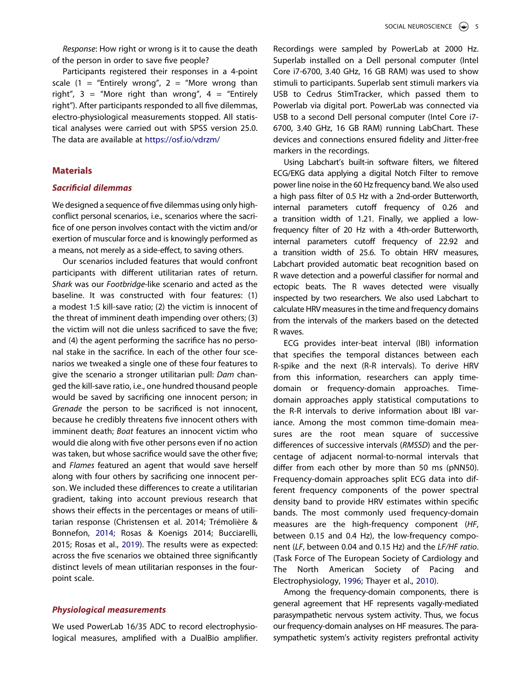*Response*: How right or wrong is it to cause the death of the person in order to save five people?

Participants registered their responses in a 4-point scale (1 = "Entirely wrong", 2 = "More wrong than right",  $3 =$  "More right than wrong",  $4 =$  "Entirely right"). After participants responded to all five dilemmas, electro-physiological measurements stopped. All statistical analyses were carried out with SPSS version 25.0. The data are available at <https://osf.io/vdrzm/>

#### **Materials**

#### *Sacrificial dilemmas*

We designed a sequence of five dilemmas using only highconflict personal scenarios, i.e., scenarios where the sacrifice of one person involves contact with the victim and/or exertion of muscular force and is knowingly performed as a means, not merely as a side-effect, to saving others.

Our scenarios included features that would confront participants with different utilitarian rates of return. *Shark* was our *Footbridge*-like scenario and acted as the baseline. It was constructed with four features: (1) a modest 1:5 kill-save ratio; (2) the victim is innocent of the threat of imminent death impending over others; (3) the victim will not die unless sacrificed to save the five; and (4) the agent performing the sacrifice has no personal stake in the sacrifice. In each of the other four scenarios we tweaked a single one of these four features to give the scenario a stronger utilitarian pull: *Dam* changed the kill-save ratio, i.e., one hundred thousand people would be saved by sacrificing one innocent person; in *Grenade* the person to be sacrificed is not innocent, because he credibly threatens five innocent others with imminent death; *Boat* features an innocent victim who would die along with five other persons even if no action was taken, but whose sacrifice would save the other five; and *Flames* featured an agent that would save herself along with four others by sacrificing one innocent person. We included these differences to create a utilitarian gradient, taking into account previous research that shows their effects in the percentages or means of utilitarian response (Christensen et al. 2014; Trémolière & Bonnefon, [2014](#page-14-3); Rosas & Koenigs 2014; Bucciarelli, 2015; Rosas et al., [2019](#page-13-20)). The results were as expected: across the five scenarios we obtained three significantly distinct levels of mean utilitarian responses in the fourpoint scale.

#### *Physiological measurements*

We used PowerLab 16/35 ADC to record electrophysiological measures, amplified with a DualBio amplifier. Recordings were sampled by PowerLab at 2000 Hz. Superlab installed on a Dell personal computer (Intel Core i7-6700, 3.40 GHz, 16 GB RAM) was used to show stimuli to participants. Superlab sent stimuli markers via USB to Cedrus StimTracker, which passed them to Powerlab via digital port. PowerLab was connected via USB to a second Dell personal computer (Intel Core i7- 6700, 3.40 GHz, 16 GB RAM) running LabChart. These devices and connections ensured fidelity and Jitter-free markers in the recordings.

Using Labchart's built-in software filters, we filtered ECG/EKG data applying a digital Notch Filter to remove power line noise in the 60 Hz frequency band. We also used a high pass filter of 0.5 Hz with a 2nd-order Butterworth, internal parameters cutoff frequency of 0.26 and a transition width of 1.21. Finally, we applied a lowfrequency filter of 20 Hz with a 4th-order Butterworth, internal parameters cutoff frequency of 22.92 and a transition width of 25.6. To obtain HRV measures, Labchart provided automatic beat recognition based on R wave detection and a powerful classifier for normal and ectopic beats. The R waves detected were visually inspected by two researchers. We also used Labchart to calculate HRV measures in the time and frequency domains from the intervals of the markers based on the detected R waves.

ECG provides inter-beat interval (IBI) information that specifies the temporal distances between each R-spike and the next (R-R intervals). To derive HRV from this information, researchers can apply timedomain or frequency-domain approaches. Timedomain approaches apply statistical computations to the R-R intervals to derive information about IBI variance. Among the most common time-domain measures are the root mean square of successive differences of successive intervals (*RMSSD*) and the percentage of adjacent normal-to-normal intervals that differ from each other by more than 50 ms (pNN50). Frequency-domain approaches split ECG data into different frequency components of the power spectral density band to provide HRV estimates within specific bands. The most commonly used frequency-domain measures are the high-frequency component (*HF*, between 0.15 and 0.4 Hz), the low-frequency component (*LF*, between 0.04 and 0.15 Hz) and the *LF/HF ratio*. (Task Force of The European Society of Cardiology and The North American Society of Pacing and Electrophysiology, [1996;](#page-13-22) Thayer et al., [2010](#page-13-23)).

<span id="page-5-0"></span>Among the frequency-domain components, there is general agreement that HF represents vagally-mediated parasympathetic nervous system activity. Thus, we focus our frequency-domain analyses on HF measures. The parasympathetic system's activity registers prefrontal activity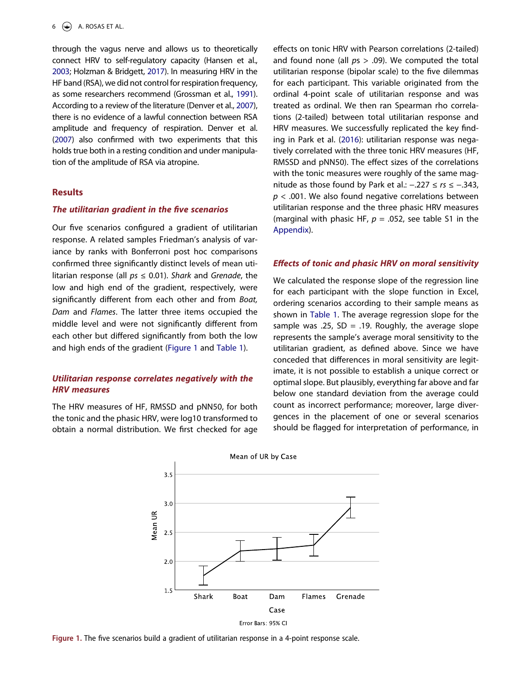<span id="page-6-2"></span>through the vagus nerve and allows us to theoretically connect HRV to self-regulatory capacity (Hansen et al., [2003;](#page-12-8) Holzman & Bridgett, [2017\)](#page-12-2). In measuring HRV in the HF band (RSA), we did not control for respiration frequency, as some researchers recommend (Grossman et al., [1991](#page-12-24)). According to a review of the literature (Denver et al., [2007](#page-12-25)), there is no evidence of a lawful connection between RSA amplitude and frequency of respiration. Denver et al. ([2007](#page-12-25)) also confirmed with two experiments that this holds true both in a resting condition and under manipulation of the amplitude of RSA via atropine.

#### <span id="page-6-1"></span>**Results**

#### *The utilitarian gradient in the five scenarios*

Our five scenarios configured a gradient of utilitarian response. A related samples Friedman's analysis of variance by ranks with Bonferroni post hoc comparisons confirmed three significantly distinct levels of mean utilitarian response (all *ps* ≤ 0.01). *Shark* and *Grenade*, the low and high end of the gradient, respectively, were significantly different from each other and from *Boat, Dam* and *Flames*. The latter three items occupied the middle level and were not significantly different from each other but differed significantly from both the low and high ends of the gradient ([Figure 1](#page-6-0) and [Table 1\)](#page-7-0).

#### *Utilitarian response correlates negatively with the HRV measures*

<span id="page-6-0"></span>The HRV measures of HF, RMSSD and pNN50, for both the tonic and the phasic HRV, were log10 transformed to obtain a normal distribution. We first checked for age effects on tonic HRV with Pearson correlations (2-tailed) and found none (all *p*s > .09). We computed the total utilitarian response (bipolar scale) to the five dilemmas for each participant. This variable originated from the ordinal 4-point scale of utilitarian response and was treated as ordinal. We then ran Spearman rho correlations (2-tailed) between total utilitarian response and HRV measures. We successfully replicated the key finding in Park et al. ([2016](#page-13-15)): utilitarian response was negatively correlated with the three tonic HRV measures (HF, RMSSD and pNN50). The effect sizes of the correlations with the tonic measures were roughly of the same magnitude as those found by Park et al.: −.227 ≤ *rs* ≤ −.343, *p* < .001. We also found negative correlations between utilitarian response and the three phasic HRV measures (marginal with phasic HF, *p* = .052, see table S1 in the [Appendix](#page-14-4)).

#### *Effects of tonic and phasic HRV on moral sensitivity*

We calculated the response slope of the regression line for each participant with the slope function in Excel, ordering scenarios according to their sample means as shown in [Table 1](#page-7-0). The average regression slope for the sample was .25,  $SD = .19$ . Roughly, the average slope represents the sample's average moral sensitivity to the utilitarian gradient, as defined above. Since we have conceded that differences in moral sensitivity are legitimate, it is not possible to establish a unique correct or optimal slope. But plausibly, everything far above and far below one standard deviation from the average could count as incorrect performance; moreover, large divergences in the placement of one or several scenarios should be flagged for interpretation of performance, in



**Figure 1.** The five scenarios build a gradient of utilitarian response in a 4-point response scale.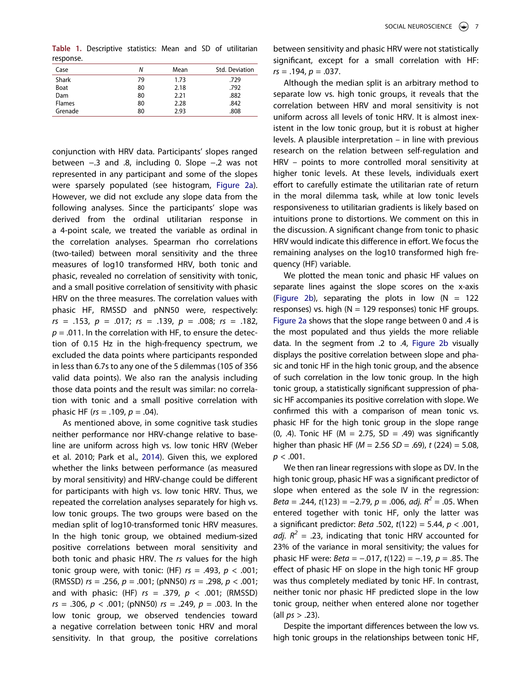<span id="page-7-0"></span>**Table 1.** Descriptive statistics: Mean and SD of utilitarian response.

| Case          | Ν  | Mean | Std. Deviation |
|---------------|----|------|----------------|
| <b>Shark</b>  | 79 | 1.73 | .729           |
| Boat          | 80 | 2.18 | .792           |
| Dam           | 80 | 2.21 | .882           |
| <b>Flames</b> | 80 | 2.28 | .842           |
| Grenade       | 80 | 2.93 | .808           |

conjunction with HRV data. Participants' slopes ranged between −.3 and .8, including 0. Slope −.2 was not represented in any participant and some of the slopes were sparsely populated (see histogram, [Figure 2a\)](#page-8-0). However, we did not exclude any slope data from the following analyses. Since the participants' slope was derived from the ordinal utilitarian response in a 4-point scale, we treated the variable as ordinal in the correlation analyses. Spearman rho correlations (two-tailed) between moral sensitivity and the three measures of log10 transformed HRV, both tonic and phasic, revealed no correlation of sensitivity with tonic, and a small positive correlation of sensitivity with phasic HRV on the three measures. The correlation values with phasic HF, RMSSD and pNN50 were, respectively: *rs* = .153, *p* = .017; *rs* = .139, *p* = .008; *rs* = .182,  $p = .011$ . In the correlation with HF, to ensure the detection of 0.15 Hz in the high-frequency spectrum, we excluded the data points where participants responded in less than 6.7s to any one of the 5 dilemmas (105 of 356 valid data points). We also ran the analysis including those data points and the result was similar: no correlation with tonic and a small positive correlation with phasic HF (*rs* = .109, *p* = .04).

As mentioned above, in some cognitive task studies neither performance nor HRV-change relative to baseline are uniform across high vs. low tonic HRV (Weber et al. 2010; Park et al., [2014](#page-13-7)). Given this, we explored whether the links between performance (as measured by moral sensitivity) and HRV-change could be different for participants with high vs. low tonic HRV. Thus, we repeated the correlation analyses separately for high vs. low tonic groups. The two groups were based on the median split of log10-transformed tonic HRV measures. In the high tonic group, we obtained medium-sized positive correlations between moral sensitivity and both tonic and phasic HRV. The *rs* values for the high tonic group were, with tonic: (HF) *rs* = .493, *p* < .001; (RMSSD) *rs* = .256, *p* = .001; (pNN50) *rs* = .298, *p* < .001; and with phasic: (HF) *rs* = .379, *p* < .001; (RMSSD) *rs* = .306, *p* < .001; (pNN50) *rs* = .249, *p* = .003. In the low tonic group, we observed tendencies toward a negative correlation between tonic HRV and moral sensitivity. In that group, the positive correlations between sensitivity and phasic HRV were not statistically significant, except for a small correlation with HF: *rs* = .194, *p* = .037.

Although the median split is an arbitrary method to separate low vs. high tonic groups, it reveals that the correlation between HRV and moral sensitivity is not uniform across all levels of tonic HRV. It is almost inexistent in the low tonic group, but it is robust at higher levels. A plausible interpretation – in line with previous research on the relation between self-regulation and HRV – points to more controlled moral sensitivity at higher tonic levels. At these levels, individuals exert effort to carefully estimate the utilitarian rate of return in the moral dilemma task, while at low tonic levels responsiveness to utilitarian gradients is likely based on intuitions prone to distortions. We comment on this in the discussion. A significant change from tonic to phasic HRV would indicate this difference in effort. We focus the remaining analyses on the log10 transformed high frequency (HF) variable.

We plotted the mean tonic and phasic HF values on separate lines against the slope scores on the x-axis [\(Figure 2b\)](#page-8-0), separating the plots in low  $(N = 122)$ responses) vs. high ( $N = 129$  responses) tonic HF groups. [Figure 2a](#page-8-0) shows that the slope range between 0 and .4 is the most populated and thus yields the more reliable data. In the segment from .2 to .4, [Figure 2b](#page-8-0) visually displays the positive correlation between slope and phasic and tonic HF in the high tonic group, and the absence of such correlation in the low tonic group. In the high tonic group, a statistically significant suppression of phasic HF accompanies its positive correlation with slope. We confirmed this with a comparison of mean tonic vs. phasic HF for the high tonic group in the slope range (0, .4). Tonic HF ( $M = 2.75$ , SD = .49) was significantly higher than phasic HF (*M* = 2.56 *SD* = .69), *t* (224) = 5.08,  $p < .001$ .

We then ran linear regressions with slope as DV. In the high tonic group, phasic HF was a significant predictor of slope when entered as the sole IV in the regression: *Beta* = .244, *t*(123) = −2.79, *p* = .006, *adj. R2* = .05. When entered together with tonic HF, only the latter was a significant predictor: *Beta* .502, *t*(122) = 5.44, *p* < .001, *adj.*  $R^2$  = .23, indicating that tonic HRV accounted for 23% of the variance in moral sensitivity; the values for phasic HF were: *Beta* = −.017, *t*(122) = −.19, *p* = .85. The effect of phasic HF on slope in the high tonic HF group was thus completely mediated by tonic HF. In contrast, neither tonic nor phasic HF predicted slope in the low tonic group, neither when entered alone nor together (all *ps* > .23).

Despite the important differences between the low vs. high tonic groups in the relationships between tonic HF,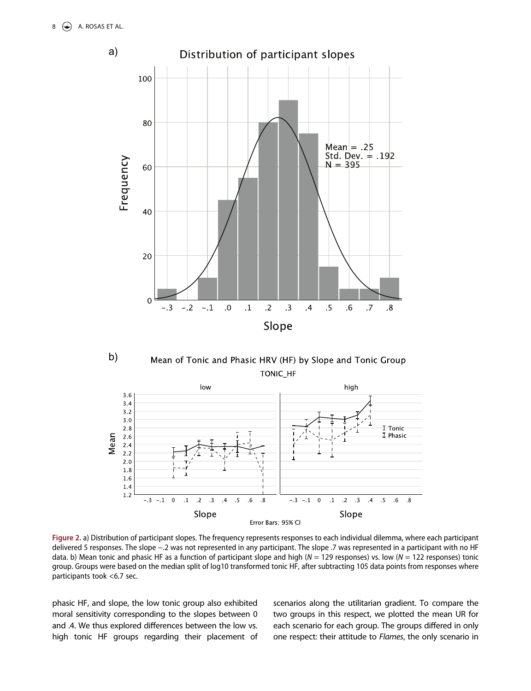<span id="page-8-0"></span>

b) Mean of Tonic and Phasic HRV (HF) by Slope and Tonic Group **TONIC HF** 



**Figure 2.** a) Distribution of participant slopes. The frequency represents responses to each individual dilemma, where each participant delivered 5 responses. The slope −.2 was not represented in any participant. The slope .7 was represented in a participant with no HF data. b) Mean tonic and phasic HF as a function of participant slope and high (*N* = 129 responses) vs. low (*N* = 122 responses) tonic group. Groups were based on the median split of log10 transformed tonic HF, after subtracting 105 data points from responses where participants took <6.7 sec.

phasic HF, and slope, the low tonic group also exhibited moral sensitivity corresponding to the slopes between 0 and .4. We thus explored differences between the low vs. high tonic HF groups regarding their placement of scenarios along the utilitarian gradient. To compare the two groups in this respect, we plotted the mean UR for each scenario for each group. The groups differed in only one respect: their attitude to *Flames*, the only scenario in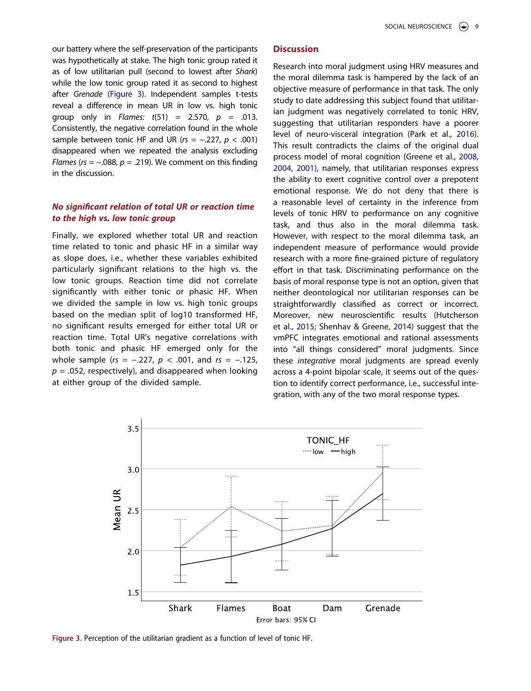our battery where the self-preservation of the participants was hypothetically at stake. The high tonic group rated it as of low utilitarian pull (second to lowest after *Shark*) while the low tonic group rated it as second to highest after *Grenade* [\(Figure 3\)](#page-9-0). Independent samples t-tests reveal a difference in mean UR in low vs. high tonic group only in *Flames: t*(51) = 2.570, *p* = .013. Consistently, the negative correlation found in the whole sample between tonic HF and UR (*rs* = −.227, *p* < .001) disappeared when we repeated the analysis excluding *Flames (rs = −.088, p = .219).* We comment on this finding in the discussion.

#### *No significant relation of total UR or reaction time to the high vs. low tonic group*

Finally, we explored whether total UR and reaction time related to tonic and phasic HF in a similar way as slope does, i.e., whether these variables exhibited particularly significant relations to the high vs. the low tonic groups. Reaction time did not correlate significantly with either tonic or phasic HF. When we divided the sample in low vs. high tonic groups based on the median split of log10 transformed HF, no significant results emerged for either total UR or reaction time. Total UR's negative correlations with both tonic and phasic HF emerged only for the whole sample (*rs* = −.227, *p* < .001, and *rs* = −.125,  $p = 0.052$ , respectively), and disappeared when looking at either group of the divided sample.

#### **Discussion**

Research into moral judgment using HRV measures and the moral dilemma task is hampered by the lack of an objective measure of performance in that task. The only study to date addressing this subject found that utilitarian judgment was negatively correlated to tonic HRV, suggesting that utilitarian responders have a poorer level of neuro-visceral integration (Park et al., [2016\)](#page-13-15). This result contradicts the claims of the original dual process model of moral cognition (Greene et al., [2008](#page-12-18), [2004](#page-12-15), [2001\)](#page-12-16), namely, that utilitarian responses express the ability to exert cognitive control over a prepotent emotional response. We do not deny that there is a reasonable level of certainty in the inference from levels of tonic HRV to performance on any cognitive task, and thus also in the moral dilemma task. However, with respect to the moral dilemma task, an independent measure of performance would provide research with a more fine-grained picture of regulatory effort in that task. Discriminating performance on the basis of moral response type is not an option, given that neither deontological nor utilitarian responses can be straightforwardly classified as correct or incorrect. Moreover, new neuroscientific results (Hutcherson et al., [2015;](#page-12-17) Shenhav & Greene, [2014](#page-13-16)) suggest that the vmPFC integrates emotional and rational assessments into "all things considered" moral judgments. Since these *integrative* moral judgments are spread evenly across a 4-point bipolar scale, it seems out of the question to identify correct performance, i.e., successful integration, with any of the two moral response types.

<span id="page-9-0"></span>

**Figure 3.** Perception of the utilitarian gradient as a function of level of tonic HF.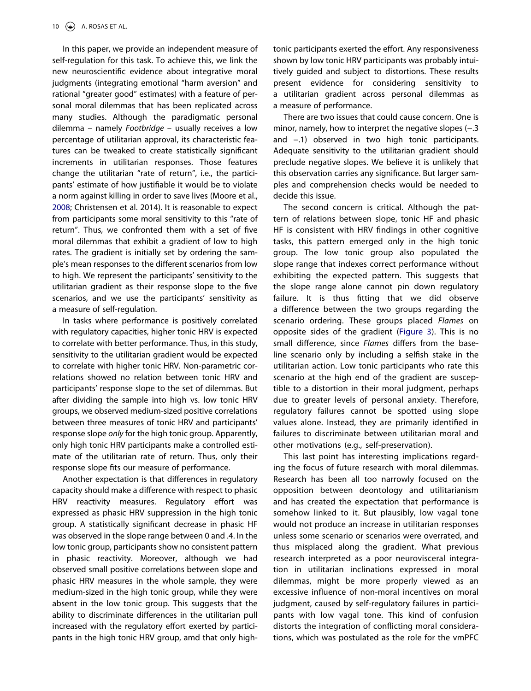In this paper, we provide an independent measure of self-regulation for this task. To achieve this, we link the new neuroscientific evidence about integrative moral judgments (integrating emotional "harm aversion" and rational "greater good" estimates) with a feature of personal moral dilemmas that has been replicated across many studies. Although the paradigmatic personal dilemma – namely *Footbridge* – usually receives a low percentage of utilitarian approval, its characteristic features can be tweaked to create statistically significant increments in utilitarian responses. Those features change the utilitarian "rate of return", i.e., the participants' estimate of how justifiable it would be to violate a norm against killing in order to save lives (Moore et al., [2008;](#page-13-17) Christensen et al. 2014). It is reasonable to expect from participants some moral sensitivity to this "rate of return". Thus, we confronted them with a set of five moral dilemmas that exhibit a gradient of low to high rates. The gradient is initially set by ordering the sample's mean responses to the different scenarios from low to high. We represent the participants' sensitivity to the utilitarian gradient as their response slope to the five scenarios, and we use the participants' sensitivity as a measure of self-regulation.

In tasks where performance is positively correlated with regulatory capacities, higher tonic HRV is expected to correlate with better performance. Thus, in this study, sensitivity to the utilitarian gradient would be expected to correlate with higher tonic HRV. Non-parametric correlations showed no relation between tonic HRV and participants' response slope to the set of dilemmas. But after dividing the sample into high vs. low tonic HRV groups, we observed medium-sized positive correlations between three measures of tonic HRV and participants' response slope *only* for the high tonic group. Apparently, only high tonic HRV participants make a controlled estimate of the utilitarian rate of return. Thus, only their response slope fits our measure of performance.

Another expectation is that differences in regulatory capacity should make a difference with respect to phasic HRV reactivity measures. Regulatory effort was expressed as phasic HRV suppression in the high tonic group. A statistically significant decrease in phasic HF was observed in the slope range between 0 and .4. In the low tonic group, participants show no consistent pattern in phasic reactivity. Moreover, although we had observed small positive correlations between slope and phasic HRV measures in the whole sample, they were medium-sized in the high tonic group, while they were absent in the low tonic group. This suggests that the ability to discriminate differences in the utilitarian pull increased with the regulatory effort exerted by participants in the high tonic HRV group, amd that only hightonic participants exerted the effort. Any responsiveness shown by low tonic HRV participants was probably intuitively guided and subject to distortions. These results present evidence for considering sensitivity to a utilitarian gradient across personal dilemmas as a measure of performance.

There are two issues that could cause concern. One is minor, namely, how to interpret the negative slopes (−.3 and −.1) observed in two high tonic participants. Adequate sensitivity to the utilitarian gradient should preclude negative slopes. We believe it is unlikely that this observation carries any significance. But larger samples and comprehension checks would be needed to decide this issue.

The second concern is critical. Although the pattern of relations between slope, tonic HF and phasic HF is consistent with HRV findings in other cognitive tasks, this pattern emerged only in the high tonic group. The low tonic group also populated the slope range that indexes correct performance without exhibiting the expected pattern. This suggests that the slope range alone cannot pin down regulatory failure. It is thus fitting that we did observe a difference between the two groups regarding the scenario ordering. These groups placed *Flames* on opposite sides of the gradient [\(Figure 3](#page-9-0)). This is no small difference, since *Flames* differs from the baseline scenario only by including a selfish stake in the utilitarian action. Low tonic participants who rate this scenario at the high end of the gradient are susceptible to a distortion in their moral judgment, perhaps due to greater levels of personal anxiety. Therefore, regulatory failures cannot be spotted using slope values alone. Instead, they are primarily identified in failures to discriminate between utilitarian moral and other motivations (e.g., self-preservation).

This last point has interesting implications regarding the focus of future research with moral dilemmas. Research has been all too narrowly focused on the opposition between deontology and utilitarianism and has created the expectation that performance is somehow linked to it. But plausibly, low vagal tone would not produce an increase in utilitarian responses unless some scenario or scenarios were overrated, and thus misplaced along the gradient. What previous research interpreted as a poor neurovisceral integration in utilitarian inclinations expressed in moral dilemmas, might be more properly viewed as an excessive influence of non-moral incentives on moral judgment, caused by self-regulatory failures in participants with low vagal tone. This kind of confusion distorts the integration of conflicting moral considerations, which was postulated as the role for the vmPFC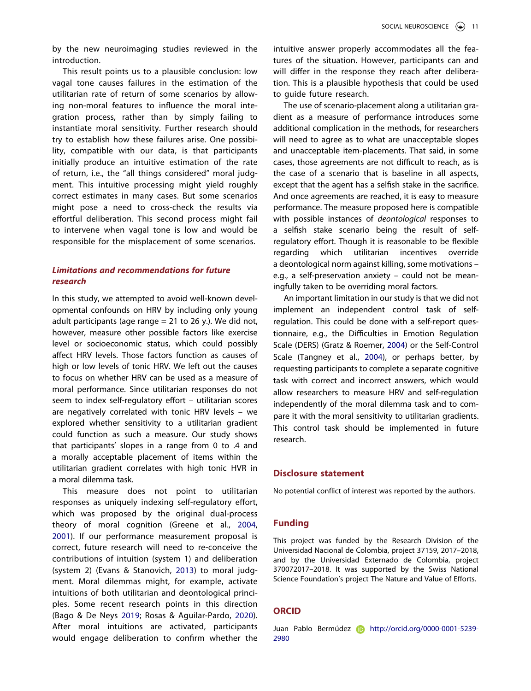by the new neuroimaging studies reviewed in the introduction.

This result points us to a plausible conclusion: low vagal tone causes failures in the estimation of the utilitarian rate of return of some scenarios by allowing non-moral features to influence the moral integration process, rather than by simply failing to instantiate moral sensitivity. Further research should try to establish how these failures arise. One possibility, compatible with our data, is that participants initially produce an intuitive estimation of the rate of return, i.e., the "all things considered" moral judgment. This intuitive processing might yield roughly correct estimates in many cases. But some scenarios might pose a need to cross-check the results via effortful deliberation. This second process might fail to intervene when vagal tone is low and would be responsible for the misplacement of some scenarios.

### *Limitations and recommendations for future research*

In this study, we attempted to avoid well-known developmental confounds on HRV by including only young adult participants (age range  $= 21$  to 26 y.). We did not, however, measure other possible factors like exercise level or socioeconomic status, which could possibly affect HRV levels. Those factors function as causes of high or low levels of tonic HRV. We left out the causes to focus on whether HRV can be used as a measure of moral performance. Since utilitarian responses do not seem to index self-regulatory effort – utilitarian scores are negatively correlated with tonic HRV levels – we explored whether sensitivity to a utilitarian gradient could function as such a measure. Our study shows that participants' slopes in a range from 0 to .4 and a morally acceptable placement of items within the utilitarian gradient correlates with high tonic HVR in a moral dilemma task.

<span id="page-11-2"></span><span id="page-11-0"></span>This measure does not point to utilitarian responses as uniquely indexing self-regulatory effort, which was proposed by the original dual-process theory of moral cognition (Greene et al., [2004,](#page-12-15) [2001\)](#page-12-16). If our performance measurement proposal is correct, future research will need to re-conceive the contributions of intuition (system 1) and deliberation (system 2) (Evans & Stanovich, [2013\)](#page-12-26) to moral judgment. Moral dilemmas might, for example, activate intuitions of both utilitarian and deontological principles. Some recent research points in this direction (Bago & De Neys [2019](#page-14-5); Rosas & Aguilar-Pardo, [2020\)](#page-13-24). After moral intuitions are activated, participants would engage deliberation to confirm whether the

intuitive answer properly accommodates all the features of the situation. However, participants can and will differ in the response they reach after deliberation. This is a plausible hypothesis that could be used to guide future research.

The use of scenario-placement along a utilitarian gradient as a measure of performance introduces some additional complication in the methods, for researchers will need to agree as to what are unacceptable slopes and unacceptable item-placements. That said, in some cases, those agreements are not difficult to reach, as is the case of a scenario that is baseline in all aspects, except that the agent has a selfish stake in the sacrifice. And once agreements are reached, it is easy to measure performance. The measure proposed here is compatible with possible instances of *deontological* responses to a selfish stake scenario being the result of selfregulatory effort. Though it is reasonable to be flexible regarding which utilitarian incentives override a deontological norm against killing, some motivations – e.g., a self-preservation anxiety – could not be meaningfully taken to be overriding moral factors.

<span id="page-11-3"></span><span id="page-11-1"></span>An important limitation in our study is that we did not implement an independent control task of selfregulation. This could be done with a self-report questionnaire, e.g., the Difficulties in Emotion Regulation Scale (DERS) (Gratz & Roemer, [2004\)](#page-12-27) or the Self-Control Scale (Tangney et al., [2004](#page-13-25)), or perhaps better, by requesting participants to complete a separate cognitive task with correct and incorrect answers, which would allow researchers to measure HRV and self-regulation independently of the moral dilemma task and to compare it with the moral sensitivity to utilitarian gradients. This control task should be implemented in future research.

#### **Disclosure statement**

No potential conflict of interest was reported by the authors.

#### **Funding**

This project was funded by the Research Division of the Universidad Nacional de Colombia, project 37159, 2017–2018, and by the Universidad Externado de Colombia, project 370072017–2018. It was supported by the Swiss National Science Foundation's project The Nature and Value of Efforts.

#### **ORCID**

Juan Pablo Bermúdez **(b)** http://orcid.org/0000-0001-5239-2980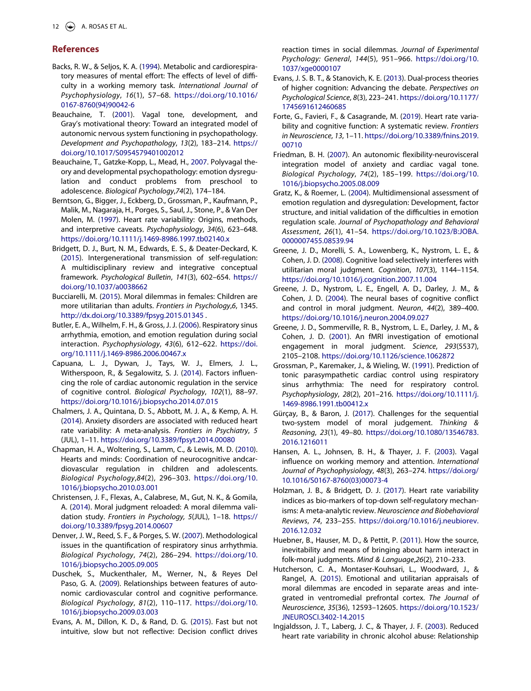#### **References**

- <span id="page-12-5"></span>Backs, R. W., & Seljos, K. A. ([1994](#page-2-0)). Metabolic and cardiorespiratory measures of mental effort: The effects of level of difficulty in a working memory task. *International Journal of Psychophysiology*, *16*(1), 57–68. [https://doi.org/10.1016/](https://doi.org/10.1016/0167-8760(94)90042-6)  [0167-8760\(94\)90042-6](https://doi.org/10.1016/0167-8760(94)90042-6)
- <span id="page-12-11"></span>Beauchaine, T. ([2001](#page-2-1)). Vagal tone, development, and Gray's motivational theory: Toward an integrated model of autonomic nervous system functioning in psychopathology. *Development and Psychopathology*, *13*(2), 183–214. [https://](https://doi.org/10.1017/S0954579401002012)  [doi.org/10.1017/S0954579401002012](https://doi.org/10.1017/S0954579401002012)
- <span id="page-12-13"></span>Beauchaine, T., Gatzke-Kopp, L., Mead, H., [2007.](#page-2-2) Polyvagal theory and developmental psychopathology: emotion dysregulation and conduct problems from preschool to adolescence. *Biological Psychology*,*74*(2), 174–184.
- <span id="page-12-0"></span>Berntson, G., Bigger, J., Eckberg, D., Grossman, P., Kaufmann, P., Malik, M., Nagaraja, H., Porges, S., Saul, J., Stone, P., & Van Der Molen, M. [\(1997\)](#page-1-3). Heart rate variability: Origins, methods, and interpretive caveats. *Psychophysiology*, *34*(6), 623–648. <https://doi.org/10.1111/j.1469-8986.1997.tb02140.x>
- <span id="page-12-1"></span>Bridgett, D. J., Burt, N. M., Edwards, E. S., & Deater-Deckard, K. ([2015](#page-1-4)). Intergenerational transmission of self-regulation: A multidisciplinary review and integrative conceptual framework. *Psychological Bulletin*, *141*(3), 602–654. [https://](https://doi.org/10.1037/a0038662)  [doi.org/10.1037/a0038662](https://doi.org/10.1037/a0038662)
- <span id="page-12-19"></span>Bucciarelli, M. ([2015](#page-3-0)). Moral dilemmas in females: Children are more utilitarian than adults. *Frontiers in Psychology*,*6*, 1345. [http://dx.doi.org/10.3389/fpsyg.2015.01345](http://dx.doi.org/10.3389/fpsyg.2015.01345.) .
- <span id="page-12-10"></span>Butler, E. A., Wilhelm, F. H., & Gross, J. J. ([2006\)](#page-2-3). Respiratory sinus arrhythmia, emotion, and emotion regulation during social interaction. *Psychophysiology*, *43*(6), 612–622. [https://doi.](https://doi.org/10.1111/j.1469-8986.2006.00467.x)  [org/10.1111/j.1469-8986.2006.00467.x](https://doi.org/10.1111/j.1469-8986.2006.00467.x)
- <span id="page-12-6"></span>Capuana, L. J., Dywan, J., Tays, W. J., Elmers, J. L., Witherspoon, R., & Segalowitz, S. J. [\(2014\)](#page-2-4). Factors influencing the role of cardiac autonomic regulation in the service of cognitive control. *Biological Psychology*, *102*(1), 88–97. <https://doi.org/10.1016/j.biopsycho.2014.07.015>
- <span id="page-12-3"></span>Chalmers, J. A., Quintana, D. S., Abbott, M. J. A., & Kemp, A. H. ([2014](#page-1-5)). Anxiety disorders are associated with reduced heart rate variability: A meta-analysis. *Frontiers in Psychiatry*, *5*  (JUL), 1–11. <https://doi.org/10.3389/fpsyt.2014.00080>
- <span id="page-12-14"></span>Chapman, H. A., Woltering, S., Lamm, C., & Lewis, M. D. ([2010](#page-2-2)). Hearts and minds: Coordination of neurocognitive andcardiovascular regulation in children and adolescents. *Biological Psychology*,*84*(2), 296–303. [https://doi.org/10.](https://doi.org/10.1016/j.biopsycho.2010.03.001)  [1016/j.biopsycho.2010.03.001](https://doi.org/10.1016/j.biopsycho.2010.03.001)
- <span id="page-12-20"></span>Christensen, J. F., Flexas, A., Calabrese, M., Gut, N. K., & Gomila, A. ([2014](#page-3-1)). Moral judgment reloaded: A moral dilemma validation study. *Frontiers in Psychology, 5*(JUL), 1–18. [https://](https://doi.org/10.3389/fpsyg.2014.00607)  [doi.org/10.3389/fpsyg.2014.00607](https://doi.org/10.3389/fpsyg.2014.00607)
- <span id="page-12-25"></span>Denver, J. W., Reed, S. F., & Porges, S. W. ([2007\)](#page-6-1). Methodological issues in the quantification of respiratory sinus arrhythmia. *Biological Psychology*, *74*(2), 286–294. [https://doi.org/10.](https://doi.org/10.1016/j.biopsycho.2005.09.005)  [1016/j.biopsycho.2005.09.005](https://doi.org/10.1016/j.biopsycho.2005.09.005)
- <span id="page-12-12"></span>Duschek, S., Muckenthaler, M., Werner, N., & Reyes Del Paso, G. A. [\(2009\)](#page-2-5). Relationships between features of autonomic cardiovascular control and cognitive performance. *Biological Psychology*, *81*(2), 110–117. [https://doi.org/10.](https://doi.org/10.1016/j.biopsycho.2009.03.003)  [1016/j.biopsycho.2009.03.003](https://doi.org/10.1016/j.biopsycho.2009.03.003)
- <span id="page-12-23"></span>Evans, A. M., Dillon, K. D., & Rand, D. G. [\(2015\)](#page-3-2). Fast but not intuitive, slow but not reflective: Decision conflict drives

reaction times in social dilemmas. *Journal of Experimental Psychology: General*, *144*(5), 951–966. [https://doi.org/10.](https://doi.org/10.1037/xge0000107)  [1037/xge0000107](https://doi.org/10.1037/xge0000107)

- <span id="page-12-26"></span>Evans, J. S. B. T., & Stanovich, K. E. ([2013](#page-11-0)). Dual-process theories of higher cognition: Advancing the debate. *Perspectives on Psychological Science*, *8*(3), 223–241. [https://doi.org/10.1177/](https://doi.org/10.1177/1745691612460685) [1745691612460685](https://doi.org/10.1177/1745691612460685)
- <span id="page-12-7"></span>Forte, G., Favieri, F., & Casagrande, M. [\(2019\)](#page-2-4). Heart rate variability and cognitive function: A systematic review. *Frontiers in Neuroscience*, *13*, 1–11. [https://doi.org/10.3389/fnins.2019.](https://doi.org/10.3389/fnins.2019.00710) [00710](https://doi.org/10.3389/fnins.2019.00710)
- <span id="page-12-4"></span>Friedman, B. H. [\(2007\)](#page-1-5). An autonomic flexibility-neurovisceral integration model of anxiety and cardiac vagal tone. *Biological Psychology*, *74*(2), 185–199. [https://doi.org/10.](https://doi.org/10.1016/j.biopsycho.2005.08.009)  [1016/j.biopsycho.2005.08.009](https://doi.org/10.1016/j.biopsycho.2005.08.009)
- <span id="page-12-27"></span>Gratz, K., & Roemer, L. [\(2004\)](#page-11-1). Multidimensional assessment of emotion regulation and dysregulation: Development, factor structure, and initial validation of the difficulties in emotion regulation scale. *Journal of Psychopathology and Behavioral Assessment*, *26*(1), 41–54. [https://doi.org/10.1023/B:JOBA.](https://doi.org/10.1023/B:JOBA.0000007455.08539.94)  [0000007455.08539.94](https://doi.org/10.1023/B:JOBA.0000007455.08539.94)
- <span id="page-12-18"></span>Greene, J. D., Morelli, S. A., Lowenberg, K., Nystrom, L. E., & Cohen, J. D. [\(2008\)](#page-3-3). Cognitive load selectively interferes with utilitarian moral judgment. *Cognition*, *107*(3), 1144–1154. <https://doi.org/10.1016/j.cognition.2007.11.004>
- <span id="page-12-15"></span>Greene, J. D., Nystrom, L. E., Engell, A. D., Darley, J. M., & Cohen, J. D. [\(2004\)](#page-2-6). The neural bases of cognitive conflict and control in moral judgment. *Neuron*, *44*(2), 389–400. <https://doi.org/10.1016/j.neuron.2004.09.027>
- <span id="page-12-16"></span>Greene, J. D., Sommerville, R. B., Nystrom, L. E., Darley, J. M., & Cohen, J. D. [\(2001\)](#page-2-6). An fMRI investigation of emotional engagement in moral judgment. *Science*, *293*(5537), 2105–2108. <https://doi.org/10.1126/science.1062872>
- <span id="page-12-24"></span>Grossman, P., Karemaker, J., & Wieling, W. ([1991](#page-6-2)). Prediction of tonic parasympathetic cardiac control using respiratory sinus arrhythmia: The need for respiratory control. *Psychophysiology*, *28*(2), 201–216. [https://doi.org/10.1111/j.](https://doi.org/10.1111/j.1469-8986.1991.tb00412.x) [1469-8986.1991.tb00412.x](https://doi.org/10.1111/j.1469-8986.1991.tb00412.x)
- <span id="page-12-22"></span>Gürçay, B., & Baron, J. [\(2017\)](#page-3-4). Challenges for the sequential two-system model of moral judgement. *Thinking & Reasoning*, *23*(1), 49–80. [https://doi.org/10.1080/13546783.](https://doi.org/10.1080/13546783.2016.1216011) [2016.1216011](https://doi.org/10.1080/13546783.2016.1216011)
- <span id="page-12-8"></span>Hansen, A. L., Johnsen, B. H., & Thayer, J. F. [\(2003\)](#page-2-7). Vagal influence on working memory and attention. *International Journal of Psychophysiology*, *48*(3), 263–274. [https://doi.org/](https://doi.org/10.1016/S0167-8760(03)00073-4) [10.1016/S0167-8760\(03\)00073-4](https://doi.org/10.1016/S0167-8760(03)00073-4)
- <span id="page-12-2"></span>Holzman, J. B., & Bridgett, D. J. [\(2017](#page-1-6)). Heart rate variability indices as bio-markers of top-down self-regulatory mechanisms: A meta-analytic review. *Neuroscience and Biobehavioral Reviews*, *74*, 233–255. [https://doi.org/10.1016/j.neubiorev.](https://doi.org/10.1016/j.neubiorev.2016.12.032)  [2016.12.032](https://doi.org/10.1016/j.neubiorev.2016.12.032)
- <span id="page-12-21"></span>Huebner, B., Hauser, M. D., & Pettit, P. ([2011](#page-3-1)). How the source, inevitability and means of bringing about harm interact in folk-moral judgments. *Mind & Language*,*26*(2), 210–233.
- <span id="page-12-17"></span>Hutcherson, C. A., Montaser-Kouhsari, L., Woodward, J., & Rangel, A. [\(2015\)](#page-3-5). Emotional and utilitarian appraisals of moral dilemmas are encoded in separate areas and integrated in ventromedial prefrontal cortex. *The Journal of Neuroscience*, *35*(36), 12593–12605. [https://doi.org/10.1523/](https://doi.org/10.1523/JNEUROSCI.3402-14.2015) [JNEUROSCI.3402-14.2015](https://doi.org/10.1523/JNEUROSCI.3402-14.2015)
- <span id="page-12-9"></span>Ingjaldsson, J. T., Laberg, J. C., & Thayer, J. F. ([2003](#page-2-8)). Reduced heart rate variability in chronic alcohol abuse: Relationship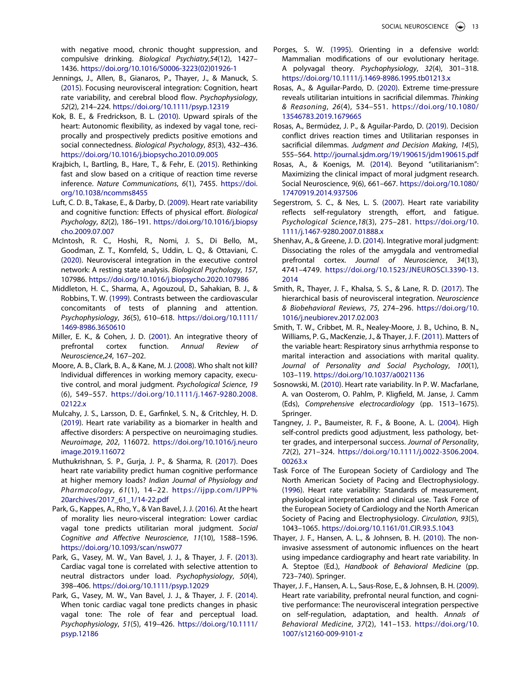with negative mood, chronic thought suppression, and compulsive drinking. *Biological Psychiatry,54*(12), 1427– 1436. [https://doi.org/10.1016/S0006-3223\(02\)01926-1](https://doi.org/10.1016/S0006-3223(02)01926-1)

- <span id="page-13-4"></span>Jennings, J., Allen, B., Gianaros, P., Thayer, J., & Manuck, S. ([2015](#page-1-7)). Focusing neurovisceral integration: Cognition, heart rate variability, and cerebral blood flow. *Psychophysiology*, *52*(2), 214–224. <https://doi.org/10.1111/psyp.12319>
- <span id="page-13-8"></span>Kok, B. E., & Fredrickson, B. L. ([2010](#page-2-9)). Upward spirals of the heart: Autonomic flexibility, as indexed by vagal tone, reciprocally and prospectively predicts positive emotions and social connectedness. *Biological Psychology*, *85*(3), 432–436. <https://doi.org/10.1016/j.biopsycho.2010.09.005>
- <span id="page-13-19"></span>Krajbich, I., Bartling, B., Hare, T., & Fehr, E. ([2015](#page-3-6)). Rethinking fast and slow based on a critique of reaction time reverse inference. *Nature Communications*, *6*(1), 7455. [https://doi.](https://doi.org/10.1038/ncomms8455)  [org/10.1038/ncomms8455](https://doi.org/10.1038/ncomms8455)
- <span id="page-13-10"></span>Luft, C. D. B., Takase, E., & Darby, D. ([2009\)](#page-2-10). Heart rate variability and cognitive function: Effects of physical effort. *Biological Psychology*, *82*(2), 186–191. [https://doi.org/10.1016/j.biopsy](https://doi.org/10.1016/j.biopsycho.2009.07.007)  [cho.2009.07.007](https://doi.org/10.1016/j.biopsycho.2009.07.007)
- <span id="page-13-1"></span>McIntosh, R. C., Hoshi, R., Nomi, J. S., Di Bello, M., Goodman, Z. T., Kornfeld, S., Uddin, L. Q., & Ottaviani, C. ([2020](#page-1-8)). Neurovisceral integration in the executive control network: A resting state analysis. *Biological Psychology*, *157*, 107986. <https://doi.org/10.1016/j.biopsycho.2020.107986>
- <span id="page-13-11"></span>Middleton, H. C., Sharma, A., Agouzoul, D., Sahakian, B. J., & Robbins, T. W. [\(1999](#page-2-11)). Contrasts between the cardiovascular concomitants of tests of planning and attention. *Psychophysiology*, *36*(5), 610–618. [https://doi.org/10.1111/](https://doi.org/10.1111/1469-8986.3650610)  [1469-8986.3650610](https://doi.org/10.1111/1469-8986.3650610)
- <span id="page-13-9"></span>Miller, E. K., & Cohen, J. D. [\(2001\)](#page-2-12). An integrative theory of prefrontal cortex function. *Annual Review of Neuroscience*,*24*, 167–202.
- <span id="page-13-17"></span>Moore, A. B., Clark, B. A., & Kane, M. J. [\(2008\)](#page-3-7). Who shalt not kill? Individual differences in working memory capacity, executive control, and moral judgment. *Psychological Science*, *19*  (6), 549–557. [https://doi.org/10.1111/j.1467-9280.2008.](https://doi.org/10.1111/j.1467-9280.2008.02122.x)  [02122.x](https://doi.org/10.1111/j.1467-9280.2008.02122.x)
- <span id="page-13-2"></span>Mulcahy, J. S., Larsson, D. E., Garfinkel, S. N., & Critchley, H. D. ([2019](#page-1-8)). Heart rate variability as a biomarker in health and affective disorders: A perspective on neuroimaging studies. *Neuroimage*, *202*, 116072. [https://doi.org/10.1016/j.neuro](https://doi.org/10.1016/j.neuroimage.2019.116072)  [image.2019.116072](https://doi.org/10.1016/j.neuroimage.2019.116072)
- <span id="page-13-12"></span>Muthukrishnan, S. P., Gurja, J. P., & Sharma, R. ([2017](#page-2-13)). Does heart rate variability predict human cognitive performance at higher memory loads? *Indian Journal of Physiology and Pharmacology*, *61*(1), 14–22. [https://ijpp.com/IJPP%](https://ijpp.com/IJPP%20archives/2017_61_1/14-22.pdf) [20archives/2017\\_61\\_1/14-22.pdf](https://ijpp.com/IJPP%20archives/2017_61_1/14-22.pdf)
- <span id="page-13-15"></span>Park, G., Kappes, A., Rho, Y., & Van Bavel, J. J. ([2016](#page-2-6)). At the heart of morality lies neuro-visceral integration: Lower cardiac vagal tone predicts utilitarian moral judgment. *Social Cognitive and Affective Neuroscience*, *11*(10), 1588–1596. <https://doi.org/10.1093/scan/nsw077>
- <span id="page-13-6"></span>Park, G., Vasey, M. W., Van Bavel, J. J., & Thayer, J. F. ([2013](#page-1-9)). Cardiac vagal tone is correlated with selective attention to neutral distractors under load. *Psychophysiology*, *50*(4), 398–406. <https://doi.org/10.1111/psyp.12029>
- <span id="page-13-7"></span>Park, G., Vasey, M. W., Van Bavel, J. J., & Thayer, J. F. ([2014](#page-1-10)). When tonic cardiac vagal tone predicts changes in phasic vagal tone: The role of fear and perceptual load. *Psychophysiology*, *51*(5), 419–426. [https://doi.org/10.1111/](https://doi.org/10.1111/psyp.12186)  [psyp.12186](https://doi.org/10.1111/psyp.12186)
- <span id="page-13-0"></span>Porges, S. W. [\(1995\)](#page-1-11). Orienting in a defensive world: Mammalian modifications of our evolutionary heritage. A polyvagal theory. *Psychophysiology*, *32*(4), 301–318. <https://doi.org/10.1111/j.1469-8986.1995.tb01213.x>
- <span id="page-13-24"></span>Rosas, A., & Aguilar-Pardo, D. ([2020](#page-11-2)). Extreme time-pressure reveals utilitarian intuitions in sacrificial dilemmas. *Thinking & Reasoning*, *26*(4), 534–551. [https://doi.org/10.1080/](https://doi.org/10.1080/13546783.2019.1679665)  [13546783.2019.1679665](https://doi.org/10.1080/13546783.2019.1679665)
- <span id="page-13-20"></span>Rosas, A., Bermúdez, J. P., & Aguilar-Pardo, D. ([2019\)](#page-3-6). Decision conflict drives reaction times and Utilitarian responses in sacrificial dilemmas. *Judgment and Decision Making*, *14*(5), 555–564. <http://journal.sjdm.org/19/190615/jdm190615.pdf>
- <span id="page-13-18"></span>Rosas, A., & Koenigs, M. ([2014\)](#page-3-7). Beyond "utilitarianism": Maximizing the clinical impact of moral judgment research. Social Neuroscience, 9(6), 661–667. [https://doi.org/10.1080/](https://doi.org/10.1080/17470919.2014.937506) [17470919.2014.937506](https://doi.org/10.1080/17470919.2014.937506)
- <span id="page-13-14"></span>Segerstrom, S. C., & Nes, L. S. [\(2007\)](#page-2-7). Heart rate variability reflects self-regulatory strength, effort, and fatigue. *Psychological Science*,*18*(3), 275–281. [https://doi.org/10.](https://doi.org/10.1111/j.1467-9280.2007.01888.x)  [1111/j.1467-9280.2007.01888.x](https://doi.org/10.1111/j.1467-9280.2007.01888.x)
- <span id="page-13-16"></span>Shenhav, A., & Greene, J. D. [\(2014](#page-2-14)). Integrative moral judgment: Dissociating the roles of the amygdala and ventromedial prefrontal cortex. *Journal of Neuroscience*, *34*(13), 4741–4749. [https://doi.org/10.1523/JNEUROSCI.3390-13.](https://doi.org/10.1523/JNEUROSCI.3390-13.2014)  [2014](https://doi.org/10.1523/JNEUROSCI.3390-13.2014)
- <span id="page-13-3"></span>Smith, R., Thayer, J. F., Khalsa, S. S., & Lane, R. D. [\(2017\)](#page-1-12). The hierarchical basis of neurovisceral integration. *Neuroscience & Biobehavioral Reviews*, *75*, 274–296. [https://doi.org/10.](https://doi.org/10.1016/j.neubiorev.2017.02.003)  [1016/j.neubiorev.2017.02.003](https://doi.org/10.1016/j.neubiorev.2017.02.003)
- <span id="page-13-13"></span>Smith, T. W., Cribbet, M. R., Nealey-Moore, J. B., Uchino, B. N., Williams, P. G., MacKenzie, J., & Thayer, J. F. ([2011](#page-2-8)). Matters of the variable heart: Respiratory sinus arrhythmia response to marital interaction and associations with marital quality. *Journal of Personality and Social Psychology*, *100*(1), 103–119. <https://doi.org/10.1037/a0021136>
- <span id="page-13-21"></span>Sosnowski, M. ([2010](#page-4-0)). Heart rate variability. In P. W. Macfarlane, A. van Oosterom, O. Pahlm, P. Kligfield, M. Janse, J. Camm (Eds), *Comprehensive electrocardiology* (pp. 1513–1675). Springer.
- <span id="page-13-25"></span>Tangney, J. P., Baumeister, R. F., & Boone, A. L. ([2004](#page-11-3)). High self-control predicts good adjustment, less pathology, better grades, and interpersonal success. *Journal of Personality*, *72*(2), 271–324. [https://doi.org/10.1111/j.0022-3506.2004.](https://doi.org/10.1111/j.0022-3506.2004.00263.x)  [00263.x](https://doi.org/10.1111/j.0022-3506.2004.00263.x)
- <span id="page-13-22"></span>Task Force of The European Society of Cardiology and The North American Society of Pacing and Electrophysiology. [\(1996\)](#page-5-0). Heart rate variability: Standards of measurement, physiological interpretation and clinical use. Task Force of the European Society of Cardiology and the North American Society of Pacing and Electrophysiology. *Circulation*, *93*(5), 1043–1065. <https://doi.org/10.1161/01.CIR.93.5.1043>
- <span id="page-13-23"></span>Thayer, J. F., Hansen, A. L., & Johnsen, B. H. [\(2010\)](#page-5-0). The noninvasive assessment of autonomic influences on the heart using impedance cardiography and heart rate variability. In A. Steptoe (Ed.), *Handbook of Behavioral Medicine* (pp. 723–740). Springer.
- <span id="page-13-5"></span>Thayer, J. F., Hansen, A. L., Saus-Rose, E., & Johnsen, B. H. ([2009](#page-1-7)). Heart rate variability, prefrontal neural function, and cognitive performance: The neurovisceral integration perspective on self-regulation, adaptation, and health. *Annals of Behavioral Medicine*, *37*(2), 141–153. [https://doi.org/10.](https://doi.org/10.1007/s12160-009-9101-z)  [1007/s12160-009-9101-z](https://doi.org/10.1007/s12160-009-9101-z)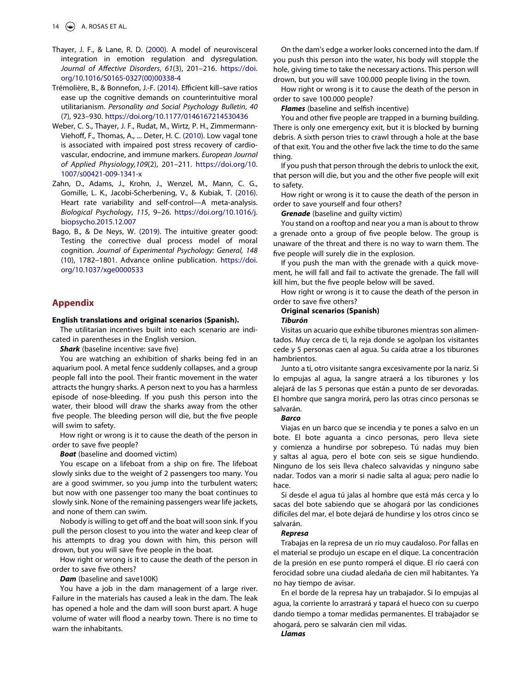- <span id="page-14-0"></span>Thayer, J. F., & Lane, R. D. ([2000](#page-1-12)). A model of neurovisceral integration in emotion regulation and dysregulation. *Journal of Affective Disorders*, *61*(3), 201–216. [https://doi.](https://doi.org/10.1016/S0165-0327(00)00338-4)  [org/10.1016/S0165-0327\(00\)00338-4](https://doi.org/10.1016/S0165-0327(00)00338-4)
- <span id="page-14-3"></span>Trémolière, B., & Bonnefon, J.-F. [\(2014\)](#page-3-4). Efficient kill–save ratios ease up the cognitive demands on counterintuitive moral utilitarianism. *Personality and Social Psychology Bulletin*, *40*  (7), 923–930. <https://doi.org/10.1177/0146167214530436>
- <span id="page-14-2"></span>Weber, C. S., Thayer, J. F., Rudat, M., Wirtz, P. H., Zimmermann-Viehoff, F., Thomas, A., ... Deter, H. C. [\(2010\)](#page-2-11). Low vagal tone is associated with impaired post stress recovery of cardiovascular, endocrine, and immune markers. *European Journal of Applied Physiology,109*(2), 201–211. [https://doi.org/10.](https://doi.org/10.1007/s00421-009-1341-x)  [1007/s00421-009-1341-x](https://doi.org/10.1007/s00421-009-1341-x)
- <span id="page-14-1"></span>Zahn, D., Adams, J., Krohn, J., Wenzel, M., Mann, C. G., Gomille, L. K., Jacobi-Scherbening, V., & Kubiak, T. ([2016](#page-1-13)). Heart rate variability and self-control—A meta-analysis. *Biological Psychology*, *115*, 9–26. [https://doi.org/10.1016/j.](https://doi.org/10.1016/j.biopsycho.2015.12.007)  [biopsycho.2015.12.007](https://doi.org/10.1016/j.biopsycho.2015.12.007)
- <span id="page-14-5"></span>Bago, B., & De Neys, W. [\(2019\)](#page-11-2). The intuitive greater good: Testing the corrective dual process model of moral cognition. *Journal of Experimental Psychology: General, 148*  (10), 1782–1801. Advance online publication. [https://doi.](https://doi.org/10.1037/xge0000533)  [org/10.1037/xge0000533](https://doi.org/10.1037/xge0000533)

#### <span id="page-14-4"></span>**Appendix**

#### **English translations and original scenarios (Spanish).**

The utilitarian incentives built into each scenario are indicated in parentheses in the English version.

**Shark** (baseline incentive: save five)

You are watching an exhibition of sharks being fed in an aquarium pool. A metal fence suddenly collapses, and a group people fall into the pool. Their frantic movement in the water attracts the hungry sharks. A person next to you has a harmless episode of nose-bleeding. If you push this person into the water, their blood will draw the sharks away from the other five people. The bleeding person will die, but the five people will swim to safety.

How right or wrong is it to cause the death of the person in order to save five people?

*Boat* (baseline and doomed victim)

You escape on a lifeboat from a ship on fire. The lifeboat slowly sinks due to the weight of 2 passengers too many. You are a good swimmer, so you jump into the turbulent waters; but now with one passenger too many the boat continues to slowly sink. None of the remaining passengers wear life jackets, and none of them can swim.

Nobody is willing to get off and the boat will soon sink. If you pull the person closest to you into the water and keep clear of his attempts to drag you down with him, this person will drown, but you will save five people in the boat.

How right or wrong is it to cause the death of the person in order to save five others?

Dam (baseline and save100K)

You have a job in the dam management of a large river. Failure in the materials has caused a leak in the dam. The leak has opened a hole and the dam will soon burst apart. A huge volume of water will flood a nearby town. There is no time to warn the inhabitants.

On the dam's edge a worker looks concerned into the dam. If you push this person into the water, his body will stopple the hole, giving time to take the necessary actions. This person will drown, but you will save 100.000 people living in the town.

How right or wrong is it to cause the death of the person in order to save 100.000 people?

*Flames* (baseline and selfish incentive)

You and other five people are trapped in a burning building. There is only one emergency exit, but it is blocked by burning debris. A sixth person tries to crawl through a hole at the base of that exit. You and the other five lack the time to do the same thing.

If you push that person through the debris to unlock the exit, that person will die, but you and the other five people will exit to safety.

How right or wrong is it to cause the death of the person in order to save yourself and four others?

*Grenade* (baseline and guilty victim)

You stand on a rooftop and near you a man is about to throw a grenade onto a group of five people below. The group is unaware of the threat and there is no way to warn them. The five people will surely die in the explosion.

If you push the man with the grenade with a quick movement, he will fall and fail to activate the grenade. The fall will kill him, but the five people below will be saved.

How right or wrong is it to cause the death of the person in order to save five others?

## **Original scenarios (Spanish)**

#### *Tiburón*

Visitas un acuario que exhibe tiburones mientras son alimentados. Muy cerca de ti, la reja donde se agolpan los visitantes cede y 5 personas caen al agua. Su caída atrae a los tiburones hambrientos.

Junto a ti, otro visitante sangra excesivamente por la nariz. Si lo empujas al agua, la sangre atraerá a los tiburones y los alejará de las 5 personas que están a punto de ser devoradas. El hombre que sangra morirá, pero las otras cinco personas se salvarán.

#### *Barco*

Viajas en un barco que se incendia y te pones a salvo en un bote. El bote aguanta a cinco personas, pero lleva siete y comienza a hundirse por sobrepeso. Tú nadas muy bien y saltas al agua, pero el bote con seis se sigue hundiendo. Ninguno de los seis lleva chaleco salvavidas y ninguno sabe nadar. Todos van a morir si nadie salta al agua; pero nadie lo hace.

Si desde el agua tú jalas al hombre que está más cerca y lo sacas del bote sabiendo que se ahogará por las condiciones difíciles del mar, el bote dejará de hundirse y los otros cinco se salvarán.

#### *Represa*

Trabajas en la represa de un río muy caudaloso. Por fallas en el material se produjo un escape en el dique. La concentración de la presión en ese punto romperá el dique. El río caerá con ferocidad sobre una ciudad aledaña de cien mil habitantes. Ya no hay tiempo de avisar.

En el borde de la represa hay un trabajador. Si lo empujas al agua, la corriente lo arrastrará y tapará el hueco con su cuerpo dando tiempo a tomar medidas permanentes. El trabajador se ahogará, pero se salvarán cien mil vidas.

#### *Llamas*